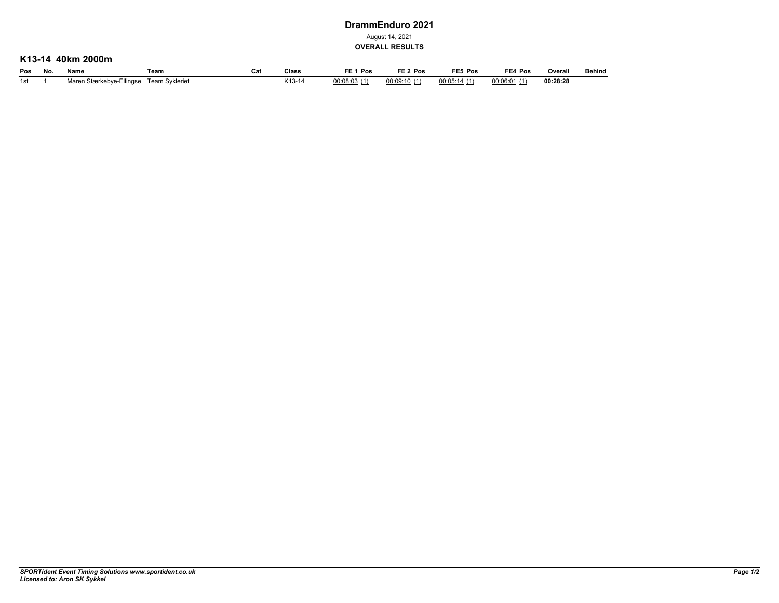## **DrammEnduro 2021**

August 14, 2021

**OVERALL RESULTS**

## **K13-14 40km 2000m**

| Pos   | No. | Name                     | Геаm           | va. | Class              | Pos          | FE <sub>2</sub> Pos | FE5 Pos     | FE4 Pos     | Overall       | Behind |
|-------|-----|--------------------------|----------------|-----|--------------------|--------------|---------------------|-------------|-------------|---------------|--------|
| 1st - |     | Maren Stærkebye-Ellingse | Team Svkleriet |     | 1110<br>$.13 - 10$ | 00:08:03 (1) | 00:09:10(1)         | 00:05:14(1) | 00:06:01(1) | 00:28:28<br>. |        |